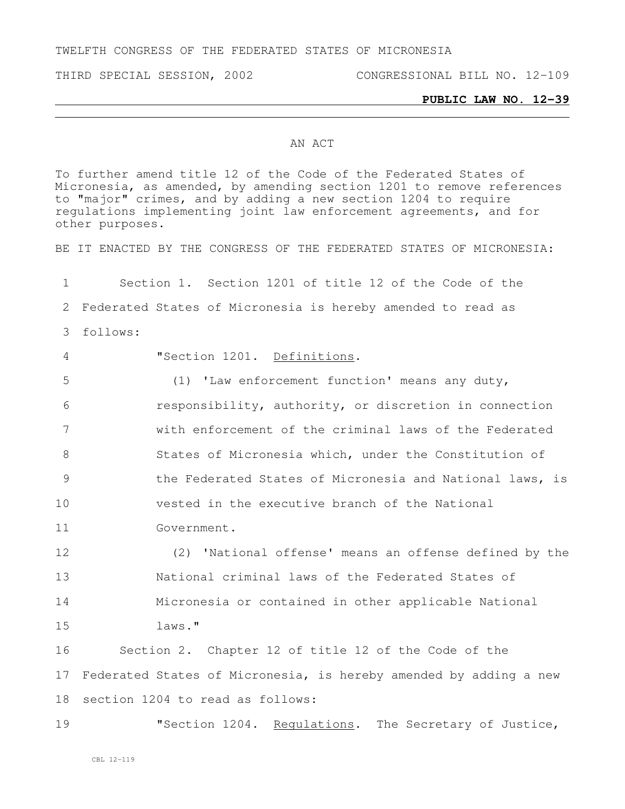TWELFTH CONGRESS OF THE FEDERATED STATES OF MICRONESIA

## **PUBLIC LAW NO. 12-39**

## AN ACT

To further amend title 12 of the Code of the Federated States of Micronesia, as amended, by amending section 1201 to remove references to "major" crimes, and by adding a new section 1204 to require regulations implementing joint law enforcement agreements, and for other purposes.

BE IT ENACTED BY THE CONGRESS OF THE FEDERATED STATES OF MICRONESIA:

 Section 1. Section 1201 of title 12 of the Code of the Federated States of Micronesia is hereby amended to read as 3 follows: "Section 1201. Definitions. (1) 'Law enforcement function' means any duty, responsibility, authority, or discretion in connection with enforcement of the criminal laws of the Federated States of Micronesia which, under the Constitution of the Federated States of Micronesia and National laws, is

10 vested in the executive branch of the National

11 Government.

 (2) 'National offense' means an offense defined by the National criminal laws of the Federated States of Micronesia or contained in other applicable National 15 laws."

16 Section 2. Chapter 12 of title 12 of the Code of the 17 Federated States of Micronesia, is hereby amended by adding a new 18 section 1204 to read as follows:

19 TSection 1204. Requiations. The Secretary of Justice,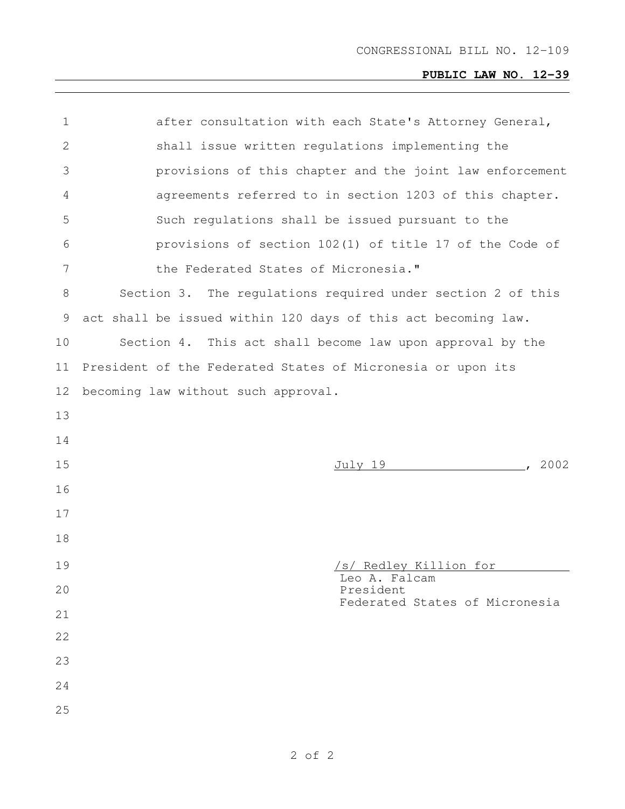## **PUBLIC LAW NO. 12-39**

| $\mathbf 1$  | after consultation with each State's Attorney General,        |
|--------------|---------------------------------------------------------------|
| $\mathbf{2}$ | shall issue written regulations implementing the              |
| 3            | provisions of this chapter and the joint law enforcement      |
| 4            | agreements referred to in section 1203 of this chapter.       |
| 5            | Such regulations shall be issued pursuant to the              |
| 6            | provisions of section 102(1) of title 17 of the Code of       |
| 7            | the Federated States of Micronesia."                          |
| 8            | Section 3. The regulations required under section 2 of this   |
| 9            | act shall be issued within 120 days of this act becoming law. |
| 10           | Section 4. This act shall become law upon approval by the     |
| 11           | President of the Federated States of Micronesia or upon its   |
| 12           | becoming law without such approval.                           |
| 13           |                                                               |
|              |                                                               |
| 14           |                                                               |
| 15           | , 2002<br>July 19                                             |
| 16           |                                                               |
| 17           |                                                               |
| 18           |                                                               |
| 19           | /s/ Redley Killion for                                        |
| 20           | Leo A. Falcam<br>President                                    |
| 21           | Federated States of Micronesia                                |
| 22           |                                                               |
| 23           |                                                               |
| 24           |                                                               |